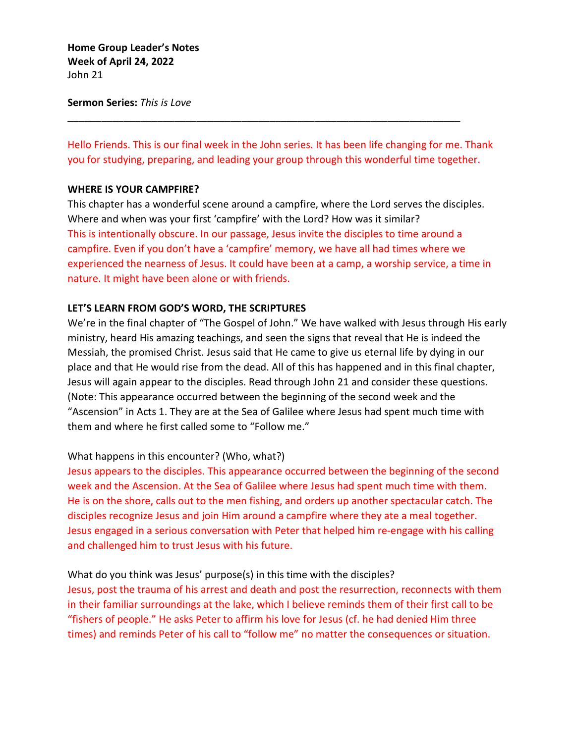**Home Group Leader's Notes Week of April 24, 2022** John 21

### **Sermon Series:** *This is Love*

Hello Friends. This is our final week in the John series. It has been life changing for me. Thank you for studying, preparing, and leading your group through this wonderful time together.

\_\_\_\_\_\_\_\_\_\_\_\_\_\_\_\_\_\_\_\_\_\_\_\_\_\_\_\_\_\_\_\_\_\_\_\_\_\_\_\_\_\_\_\_\_\_\_\_\_\_\_\_\_\_\_\_\_\_\_\_\_\_\_\_\_\_\_\_\_\_

### **WHERE IS YOUR CAMPFIRE?**

This chapter has a wonderful scene around a campfire, where the Lord serves the disciples. Where and when was your first 'campfire' with the Lord? How was it similar? This is intentionally obscure. In our passage, Jesus invite the disciples to time around a campfire. Even if you don't have a 'campfire' memory, we have all had times where we experienced the nearness of Jesus. It could have been at a camp, a worship service, a time in nature. It might have been alone or with friends.

### **LET'S LEARN FROM GOD'S WORD, THE SCRIPTURES**

We're in the final chapter of "The Gospel of John." We have walked with Jesus through His early ministry, heard His amazing teachings, and seen the signs that reveal that He is indeed the Messiah, the promised Christ. Jesus said that He came to give us eternal life by dying in our place and that He would rise from the dead. All of this has happened and in this final chapter, Jesus will again appear to the disciples. Read through John 21 and consider these questions. (Note: This appearance occurred between the beginning of the second week and the "Ascension" in Acts 1. They are at the Sea of Galilee where Jesus had spent much time with them and where he first called some to "Follow me."

## What happens in this encounter? (Who, what?)

Jesus appears to the disciples. This appearance occurred between the beginning of the second week and the Ascension. At the Sea of Galilee where Jesus had spent much time with them. He is on the shore, calls out to the men fishing, and orders up another spectacular catch. The disciples recognize Jesus and join Him around a campfire where they ate a meal together. Jesus engaged in a serious conversation with Peter that helped him re-engage with his calling and challenged him to trust Jesus with his future.

## What do you think was Jesus' purpose(s) in this time with the disciples?

Jesus, post the trauma of his arrest and death and post the resurrection, reconnects with them in their familiar surroundings at the lake, which I believe reminds them of their first call to be "fishers of people." He asks Peter to affirm his love for Jesus (cf. he had denied Him three times) and reminds Peter of his call to "follow me" no matter the consequences or situation.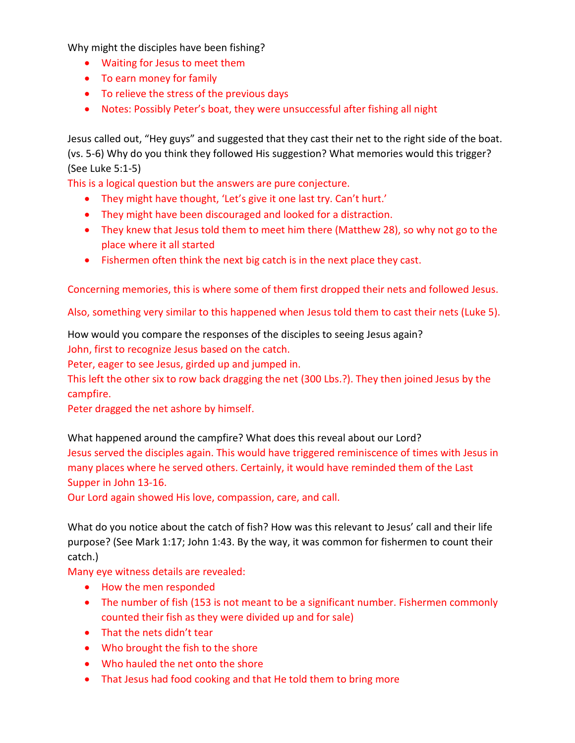Why might the disciples have been fishing?

- Waiting for Jesus to meet them
- To earn money for family
- To relieve the stress of the previous days
- Notes: Possibly Peter's boat, they were unsuccessful after fishing all night

Jesus called out, "Hey guys" and suggested that they cast their net to the right side of the boat. (vs. 5-6) Why do you think they followed His suggestion? What memories would this trigger? (See Luke 5:1-5)

This is a logical question but the answers are pure conjecture.

- They might have thought, 'Let's give it one last try. Can't hurt.'
- They might have been discouraged and looked for a distraction.
- They knew that Jesus told them to meet him there (Matthew 28), so why not go to the place where it all started
- Fishermen often think the next big catch is in the next place they cast.

Concerning memories, this is where some of them first dropped their nets and followed Jesus.

Also, something very similar to this happened when Jesus told them to cast their nets (Luke 5).

# How would you compare the responses of the disciples to seeing Jesus again?

John, first to recognize Jesus based on the catch.

Peter, eager to see Jesus, girded up and jumped in.

This left the other six to row back dragging the net (300 Lbs.?). They then joined Jesus by the campfire.

Peter dragged the net ashore by himself.

What happened around the campfire? What does this reveal about our Lord?

Jesus served the disciples again. This would have triggered reminiscence of times with Jesus in many places where he served others. Certainly, it would have reminded them of the Last Supper in John 13-16.

Our Lord again showed His love, compassion, care, and call.

What do you notice about the catch of fish? How was this relevant to Jesus' call and their life purpose? (See Mark 1:17; John 1:43. By the way, it was common for fishermen to count their catch.)

Many eye witness details are revealed:

- How the men responded
- The number of fish (153 is not meant to be a significant number. Fishermen commonly counted their fish as they were divided up and for sale)
- That the nets didn't tear
- Who brought the fish to the shore
- Who hauled the net onto the shore
- That Jesus had food cooking and that He told them to bring more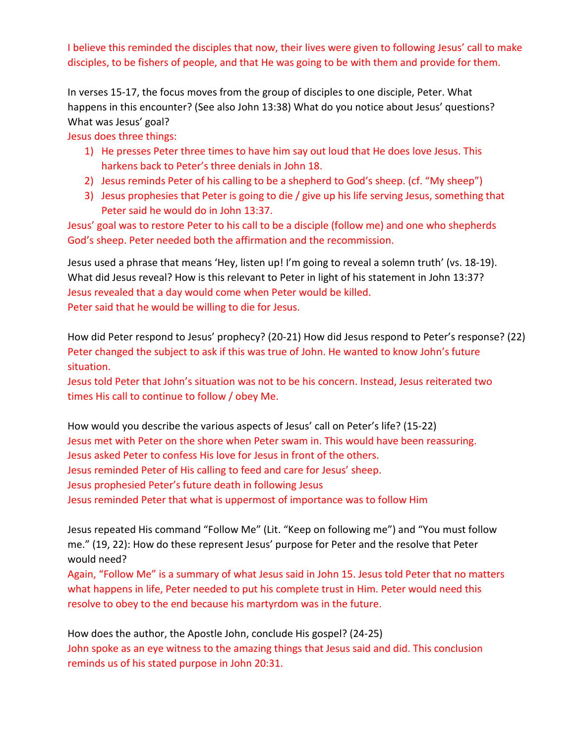I believe this reminded the disciples that now, their lives were given to following Jesus' call to make disciples, to be fishers of people, and that He was going to be with them and provide for them.

In verses 15-17, the focus moves from the group of disciples to one disciple, Peter. What happens in this encounter? (See also John 13:38) What do you notice about Jesus' questions? What was Jesus' goal?

Jesus does three things:

- 1) He presses Peter three times to have him say out loud that He does love Jesus. This harkens back to Peter's three denials in John 18.
- 2) Jesus reminds Peter of his calling to be a shepherd to God's sheep. (cf. "My sheep")
- 3) Jesus prophesies that Peter is going to die / give up his life serving Jesus, something that Peter said he would do in John 13:37.

Jesus' goal was to restore Peter to his call to be a disciple (follow me) and one who shepherds God's sheep. Peter needed both the affirmation and the recommission.

Jesus used a phrase that means 'Hey, listen up! I'm going to reveal a solemn truth' (vs. 18-19). What did Jesus reveal? How is this relevant to Peter in light of his statement in John 13:37? Jesus revealed that a day would come when Peter would be killed. Peter said that he would be willing to die for Jesus.

How did Peter respond to Jesus' prophecy? (20-21) How did Jesus respond to Peter's response? (22) Peter changed the subject to ask if this was true of John. He wanted to know John's future situation.

Jesus told Peter that John's situation was not to be his concern. Instead, Jesus reiterated two times His call to continue to follow / obey Me.

How would you describe the various aspects of Jesus' call on Peter's life? (15-22) Jesus met with Peter on the shore when Peter swam in. This would have been reassuring. Jesus asked Peter to confess His love for Jesus in front of the others. Jesus reminded Peter of His calling to feed and care for Jesus' sheep. Jesus prophesied Peter's future death in following Jesus Jesus reminded Peter that what is uppermost of importance was to follow Him

Jesus repeated His command "Follow Me" (Lit. "Keep on following me") and "You must follow me." (19, 22): How do these represent Jesus' purpose for Peter and the resolve that Peter would need?

Again, "Follow Me" is a summary of what Jesus said in John 15. Jesus told Peter that no matters what happens in life, Peter needed to put his complete trust in Him. Peter would need this resolve to obey to the end because his martyrdom was in the future.

How does the author, the Apostle John, conclude His gospel? (24-25) John spoke as an eye witness to the amazing things that Jesus said and did. This conclusion reminds us of his stated purpose in John 20:31.